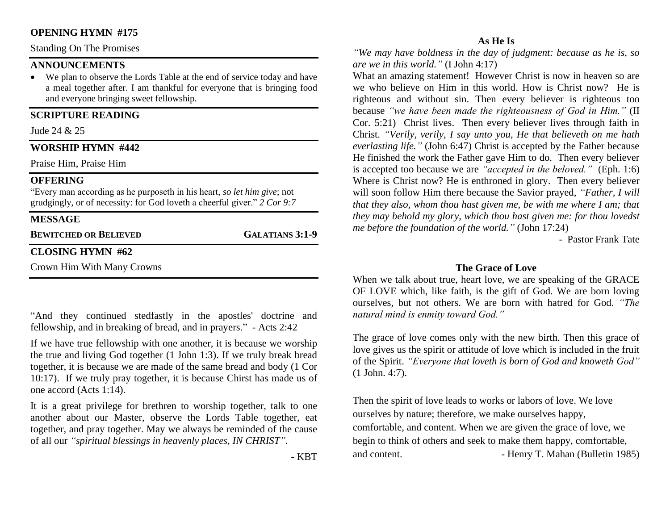# **OPENING HYMN #175**

Standing On The Promises

# **ANNOUNCEMENTS**

• We plan to observe the Lords Table at the end of service today and have a meal together after. I am thankful for everyone that is bringing food and everyone bringing sweet fellowship.

## **SCRIPTURE READING**

Jude 24 & 25

#### **WORSHIP HYMN #442**

Praise Him, Praise Him

#### **OFFERING**

"Every man according as he purposeth in his heart, *so let him give*; not grudgingly, or of necessity: for God loveth a cheerful giver." *2 Cor 9:7*

# **MESSAGE**

**BEWITCHED OR BELIEVED GALATIANS 3:1-9**

#### **CLOSING HYMN #62**

Crown Him With Many Crowns

"And they continued stedfastly in the apostles' doctrine and fellowship, and in breaking of bread, and in prayers." - Acts 2:42

If we have true fellowship with one another, it is because we worship the true and living God together (1 John 1:3). If we truly break bread together, it is because we are made of the same bread and body (1 Cor 10:17). If we truly pray together, it is because Chirst has made us of one accord (Acts 1:14).

It is a great privilege for brethren to worship together, talk to one another about our Master, observe the Lords Table together, eat together, and pray together. May we always be reminded of the cause of all our *"spiritual blessings in heavenly places, IN CHRIST".*

- KBT

#### **As He Is**

*"We may have boldness in the day of judgment: because as he is, so are we in this world."* (I John 4:17)

What an amazing statement! However Christ is now in heaven so are we who believe on Him in this world. How is Christ now? He is righteous and without sin. Then every believer is righteous too because *"we have been made the righteousness of God in Him."* (II Cor. 5:21) Christ lives. Then every believer lives through faith in Christ. *"Verily, verily, I say unto you, He that believeth on me hath everlasting life."* (John 6:47) Christ is accepted by the Father because He finished the work the Father gave Him to do. Then every believer is accepted too because we are *"accepted in the beloved."* (Eph. 1:6) Where is Christ now? He is enthroned in glory. Then every believer will soon follow Him there because the Savior prayed, *"Father, I will that they also, whom thou hast given me, be with me where I am; that they may behold my glory, which thou hast given me: for thou lovedst me before the foundation of the world."* (John 17:24)

- Pastor Frank Tate

## **The Grace of Love**

When we talk about true, heart love, we are speaking of the GRACE OF LOVE which, like faith, is the gift of God. We are born loving ourselves, but not others. We are born with hatred for God. *"The natural mind is enmity toward God."* 

The grace of love comes only with the new birth. Then this grace of love gives us the spirit or attitude of love which is included in the fruit of the Spirit. *"Everyone that loveth is born of God and knoweth God"* (1 John. 4:7).

Then the spirit of love leads to works or labors of love. We love ourselves by nature; therefore, we make ourselves happy, comfortable, and content. When we are given the grace of love, we begin to think of others and seek to make them happy, comfortable, and content. **- Henry T. Mahan (Bulletin 1985)**